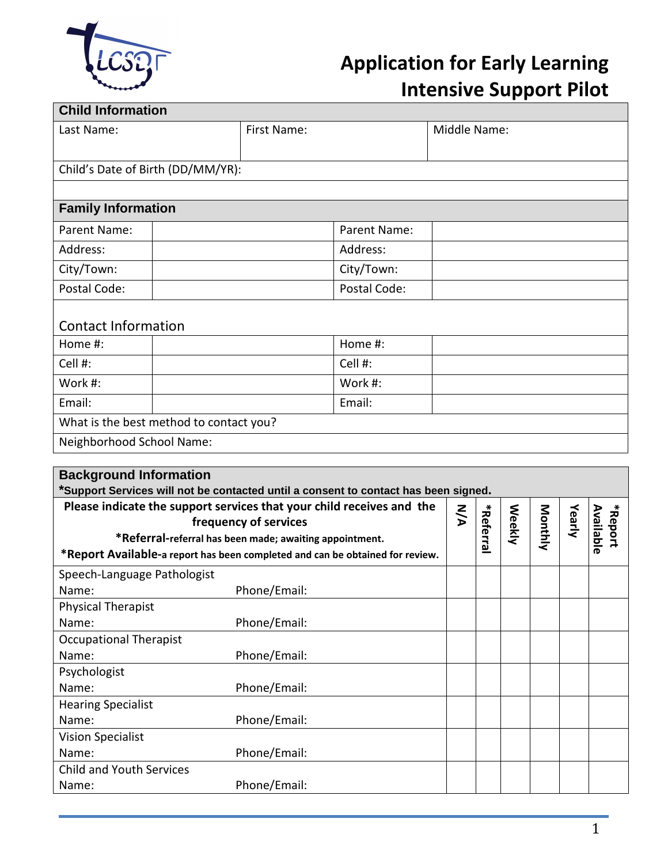

## **Application for Early Learning Intensive Support Pilot**

| Child's Date of Birth (DD/MM/YR):       |              |
|-----------------------------------------|--------------|
|                                         |              |
|                                         |              |
|                                         |              |
| <b>Family Information</b>               |              |
| Parent Name:                            | Parent Name: |
| Address:                                | Address:     |
| City/Town:                              | City/Town:   |
| Postal Code:                            | Postal Code: |
|                                         |              |
| <b>Contact Information</b>              |              |
| Home #:                                 | Home #:      |
| Cell #:                                 | Cell #:      |
| Work #:                                 | Work #:      |
| Email:                                  | Email:       |
| What is the best method to contact you? |              |
| Neighborhood School Name:               |              |
|                                         |              |

| Support Services will not be contacted until a consent to contact has been signed.                                                                                                                                                         |              |            |               |        |         |        |                      |
|--------------------------------------------------------------------------------------------------------------------------------------------------------------------------------------------------------------------------------------------|--------------|------------|---------------|--------|---------|--------|----------------------|
| Please indicate the support services that your child receives and the<br>frequency of services<br>*Referral-referral has been made; awaiting appointment.<br>*Report Available-a report has been completed and can be obtained for review. |              | <b>N/A</b> | ∗<br>Referral | Weekly | Monthly | Yearly | *Report<br>Available |
| Speech-Language Pathologist                                                                                                                                                                                                                |              |            |               |        |         |        |                      |
| Name:                                                                                                                                                                                                                                      | Phone/Email: |            |               |        |         |        |                      |
| <b>Physical Therapist</b>                                                                                                                                                                                                                  |              |            |               |        |         |        |                      |
| Name:                                                                                                                                                                                                                                      | Phone/Email: |            |               |        |         |        |                      |
| <b>Occupational Therapist</b>                                                                                                                                                                                                              |              |            |               |        |         |        |                      |
| Name:                                                                                                                                                                                                                                      | Phone/Email: |            |               |        |         |        |                      |
| Psychologist                                                                                                                                                                                                                               |              |            |               |        |         |        |                      |
| Name:                                                                                                                                                                                                                                      | Phone/Email: |            |               |        |         |        |                      |
| <b>Hearing Specialist</b>                                                                                                                                                                                                                  |              |            |               |        |         |        |                      |
| Name:                                                                                                                                                                                                                                      | Phone/Email: |            |               |        |         |        |                      |
| <b>Vision Specialist</b>                                                                                                                                                                                                                   |              |            |               |        |         |        |                      |
| Name:                                                                                                                                                                                                                                      | Phone/Email: |            |               |        |         |        |                      |
| <b>Child and Youth Services</b>                                                                                                                                                                                                            |              |            |               |        |         |        |                      |
| Name:                                                                                                                                                                                                                                      | Phone/Email: |            |               |        |         |        |                      |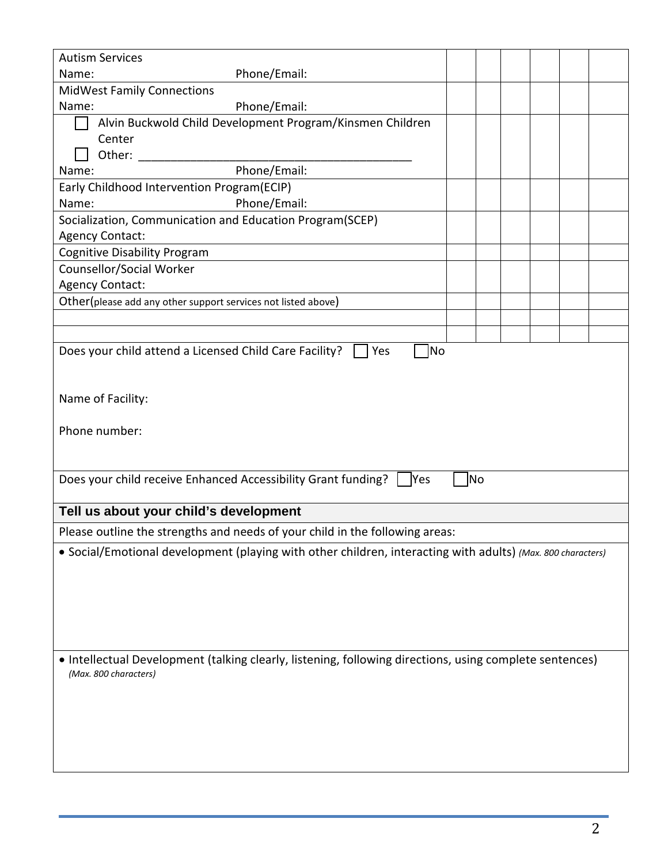| <b>Autism Services</b>                                                                                                           |  |           |  |  |  |
|----------------------------------------------------------------------------------------------------------------------------------|--|-----------|--|--|--|
| Phone/Email:<br>Name:                                                                                                            |  |           |  |  |  |
| <b>MidWest Family Connections</b>                                                                                                |  |           |  |  |  |
| Phone/Email:<br>Name:                                                                                                            |  |           |  |  |  |
| Alvin Buckwold Child Development Program/Kinsmen Children                                                                        |  |           |  |  |  |
| Center                                                                                                                           |  |           |  |  |  |
| Other:                                                                                                                           |  |           |  |  |  |
| Phone/Email:<br>Name:                                                                                                            |  |           |  |  |  |
| Early Childhood Intervention Program(ECIP)                                                                                       |  |           |  |  |  |
| Phone/Email:<br>Name:                                                                                                            |  |           |  |  |  |
| Socialization, Communication and Education Program(SCEP)                                                                         |  |           |  |  |  |
| <b>Agency Contact:</b>                                                                                                           |  |           |  |  |  |
| <b>Cognitive Disability Program</b>                                                                                              |  |           |  |  |  |
| Counsellor/Social Worker                                                                                                         |  |           |  |  |  |
| <b>Agency Contact:</b>                                                                                                           |  |           |  |  |  |
| Other(please add any other support services not listed above)                                                                    |  |           |  |  |  |
|                                                                                                                                  |  |           |  |  |  |
| Does your child attend a Licensed Child Care Facility?                                                                           |  |           |  |  |  |
| Name of Facility:                                                                                                                |  |           |  |  |  |
| Phone number:                                                                                                                    |  |           |  |  |  |
| Does your child receive Enhanced Accessibility Grant funding?<br>Yes                                                             |  | <b>No</b> |  |  |  |
| Tell us about your child's development                                                                                           |  |           |  |  |  |
| Please outline the strengths and needs of your child in the following areas:                                                     |  |           |  |  |  |
| • Social/Emotional development (playing with other children, interacting with adults) (Max. 800 characters)                      |  |           |  |  |  |
| • Intellectual Development (talking clearly, listening, following directions, using complete sentences)<br>(Max. 800 characters) |  |           |  |  |  |
|                                                                                                                                  |  |           |  |  |  |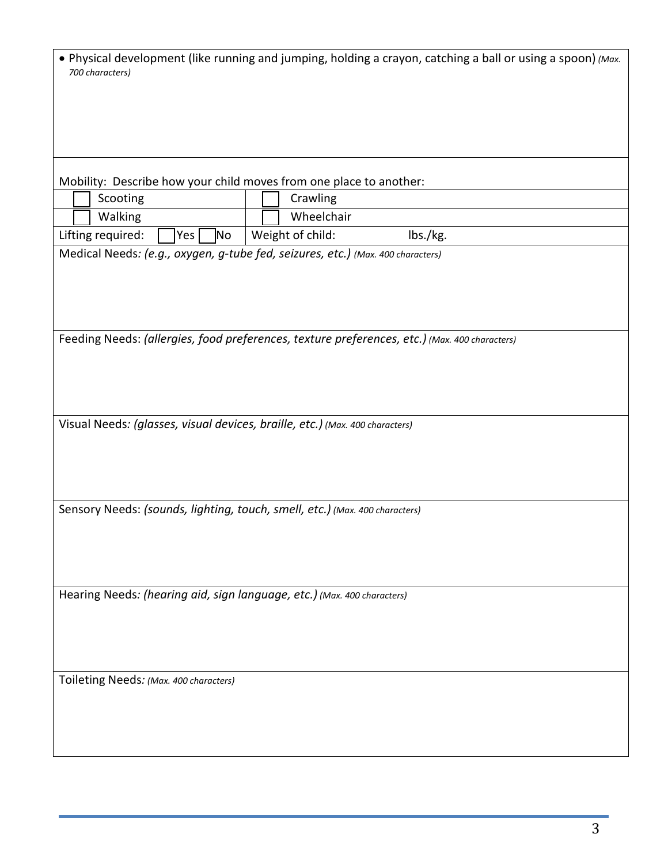| • Physical development (like running and jumping, holding a crayon, catching a ball or using a spoon) (Max.<br>700 characters) |
|--------------------------------------------------------------------------------------------------------------------------------|
|                                                                                                                                |
| Mobility: Describe how your child moves from one place to another:                                                             |
| Scooting<br>Crawling                                                                                                           |
| Wheelchair<br>Walking                                                                                                          |
| Weight of child:<br>Lifting required:<br>lbs./kg.<br>No<br>Yes                                                                 |
| Medical Needs: (e.g., oxygen, g-tube fed, seizures, etc.) (Max. 400 characters)                                                |
| Feeding Needs: (allergies, food preferences, texture preferences, etc.) (Max. 400 characters)                                  |
| Visual Needs: (glasses, visual devices, braille, etc.) (Max. 400 characters)                                                   |
| Sensory Needs: (sounds, lighting, touch, smell, etc.) (Max. 400 characters)                                                    |
| Hearing Needs: (hearing aid, sign language, etc.) (Max. 400 characters)                                                        |
| Toileting Needs: (Max. 400 characters)                                                                                         |